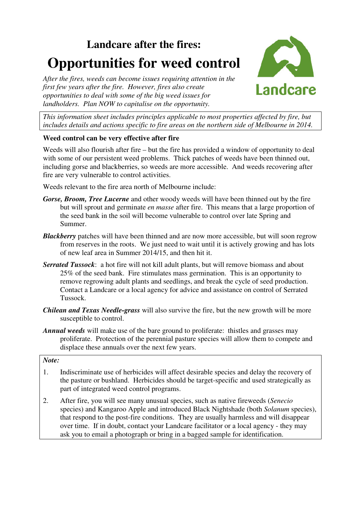# **Landcare after the fires: Opportunities for weed control**





*This information sheet includes principles applicable to most properties affected by fire, but includes details and actions specific to fire areas on the northern side of Melbourne in 2014.* 

# **Weed control can be very effective after fire**

Weeds will also flourish after fire – but the fire has provided a window of opportunity to deal with some of our persistent weed problems. Thick patches of weeds have been thinned out, including gorse and blackberries, so weeds are more accessible. And weeds recovering after fire are very vulnerable to control activities.

Weeds relevant to the fire area north of Melbourne include:

- *Gorse, Broom, Tree Lucerne* and other woody weeds will have been thinned out by the fire but will sprout and germinate *en masse* after fire. This means that a large proportion of the seed bank in the soil will become vulnerable to control over late Spring and Summer.
- *Blackberry* patches will have been thinned and are now more accessible, but will soon regrow from reserves in the roots. We just need to wait until it is actively growing and has lots of new leaf area in Summer 2014/15, and then hit it.
- *Serrated Tussock*: a hot fire will not kill adult plants, but will remove biomass and about 25% of the seed bank. Fire stimulates mass germination. This is an opportunity to remove regrowing adult plants and seedlings, and break the cycle of seed production. Contact a Landcare or a local agency for advice and assistance on control of Serrated Tussock.
- *Chilean and Texas Needle-grass* will also survive the fire, but the new growth will be more susceptible to control.
- *Annual weeds* will make use of the bare ground to proliferate: thistles and grasses may proliferate. Protection of the perennial pasture species will allow them to compete and displace these annuals over the next few years.

#### *Note:*

- 1. Indiscriminate use of herbicides will affect desirable species and delay the recovery of the pasture or bushland. Herbicides should be target-specific and used strategically as part of integrated weed control programs.
- 2. After fire, you will see many unusual species, such as native fireweeds (*Senecio* species) and Kangaroo Apple and introduced Black Nightshade (both *Solanum* species), that respond to the post-fire conditions. They are usually harmless and will disappear over time. If in doubt, contact your Landcare facilitator or a local agency - they may ask you to email a photograph or bring in a bagged sample for identification.